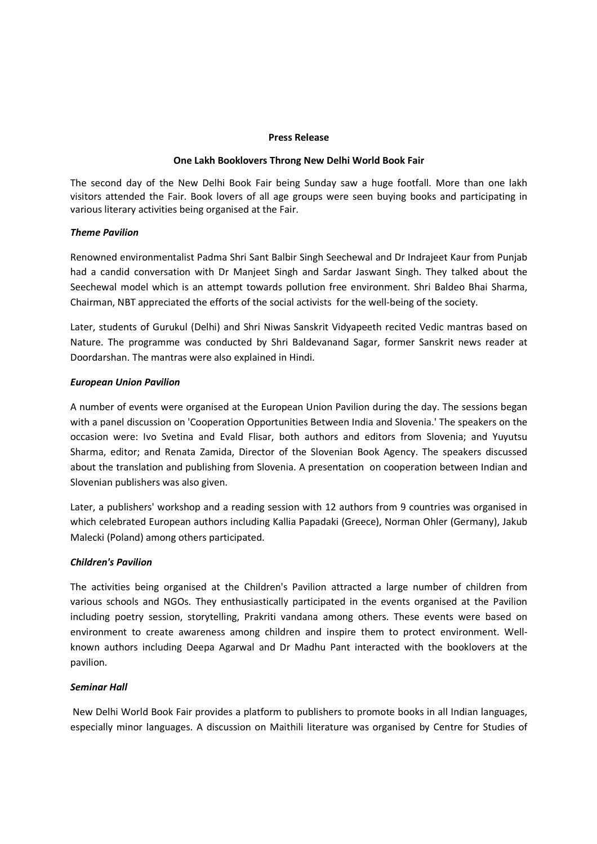### **Press Release**

### **One Lakh Booklovers Throng New Delhi World Book Fair**

The second day of the New Delhi Book Fair being Sunday saw a huge footfall. More than one lakh visitors attended the Fair. Book lovers of all age groups were seen buying books and participating in various literary activities being organised at the Fair.

## *Theme Pavilion*

Renowned environmentalist Padma Shri Sant Balbir Singh Seechewal and Dr Indrajeet Kaur from Punjab had a candid conversation with Dr Manjeet Singh and Sardar Jaswant Singh. They talked about the Seechewal model which is an attempt towards pollution free environment. Shri Baldeo Bhai Sharma, Chairman, NBT appreciated the efforts of the social activists for the well-being of the society.

Later, students of Gurukul (Delhi) and Shri Niwas Sanskrit Vidyapeeth recited Vedic mantras based on Nature. The programme was conducted by Shri Baldevanand Sagar, former Sanskrit news reader at Doordarshan. The mantras were also explained in Hindi.

## *European Union Pavilion*

A number of events were organised at the European Union Pavilion during the day. The sessions began with a panel discussion on 'Cooperation Opportunities Between India and Slovenia.' The speakers on the occasion were: Ivo Svetina and Evald Flisar, both authors and editors from Slovenia; and Yuyutsu Sharma, editor; and Renata Zamida, Director of the Slovenian Book Agency. The speakers discussed about the translation and publishing from Slovenia. A presentation on cooperation between Indian and Slovenian publishers was also given.

Later, a publishers' workshop and a reading session with 12 authors from 9 countries was organised in which celebrated European authors including Kallia Papadaki (Greece), Norman Ohler (Germany), Jakub Malecki (Poland) among others participated.

### *Children's Pavilion*

The activities being organised at the Children's Pavilion attracted a large number of children from various schools and NGOs. They enthusiastically participated in the events organised at the Pavilion including poetry session, storytelling, Prakriti vandana among others. These events were based on environment to create awareness among children and inspire them to protect environment. Wellknown authors including Deepa Agarwal and Dr Madhu Pant interacted with the booklovers at the pavilion.

# *Seminar Hall*

 New Delhi World Book Fair provides a platform to publishers to promote books in all Indian languages, especially minor languages. A discussion on Maithili literature was organised by Centre for Studies of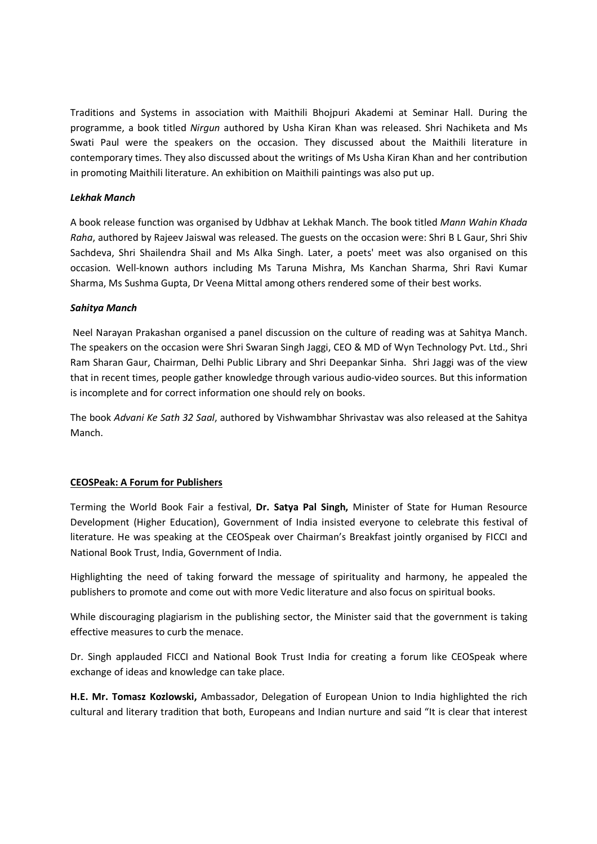Traditions and Systems in association with Maithili Bhojpuri Akademi at Seminar Hall. During the programme, a book titled *Nirgun* authored by Usha Kiran Khan was released. Shri Nachiketa and Ms Swati Paul were the speakers on the occasion. They discussed about the Maithili literature in contemporary times. They also discussed about the writings of Ms Usha Kiran Khan and her contribution in promoting Maithili literature. An exhibition on Maithili paintings was also put up.

## *Lekhak Manch*

A book release function was organised by Udbhav at Lekhak Manch. The book titled *Mann Wahin Khada Raha*, authored by Rajeev Jaiswal was released. The guests on the occasion were: Shri B L Gaur, Shri Shiv Sachdeva, Shri Shailendra Shail and Ms Alka Singh. Later, a poets' meet was also organised on this occasion. Well-known authors including Ms Taruna Mishra, Ms Kanchan Sharma, Shri Ravi Kumar Sharma, Ms Sushma Gupta, Dr Veena Mittal among others rendered some of their best works.

## *Sahitya Manch*

 Neel Narayan Prakashan organised a panel discussion on the culture of reading was at Sahitya Manch. The speakers on the occasion were Shri Swaran Singh Jaggi, CEO & MD of Wyn Technology Pvt. Ltd., Shri Ram Sharan Gaur, Chairman, Delhi Public Library and Shri Deepankar Sinha. Shri Jaggi was of the view that in recent times, people gather knowledge through various audio-video sources. But this information is incomplete and for correct information one should rely on books.

The book *Advani Ke Sath 32 Saal*, authored by Vishwambhar Shrivastav was also released at the Sahitya Manch.

# **CEOSPeak: A Forum for Publishers**

Terming the World Book Fair a festival, **Dr. Satya Pal Singh,** Minister of State for Human Resource Development (Higher Education), Government of India insisted everyone to celebrate this festival of literature. He was speaking at the CEOSpeak over Chairman's Breakfast jointly organised by FICCI and National Book Trust, India, Government of India.

Highlighting the need of taking forward the message of spirituality and harmony, he appealed the publishers to promote and come out with more Vedic literature and also focus on spiritual books.

While discouraging plagiarism in the publishing sector, the Minister said that the government is taking effective measures to curb the menace.

Dr. Singh applauded FICCI and National Book Trust India for creating a forum like CEOSpeak where exchange of ideas and knowledge can take place.

**H.E. Mr. Tomasz Kozlowski,** Ambassador, Delegation of European Union to India highlighted the rich cultural and literary tradition that both, Europeans and Indian nurture and said "It is clear that interest